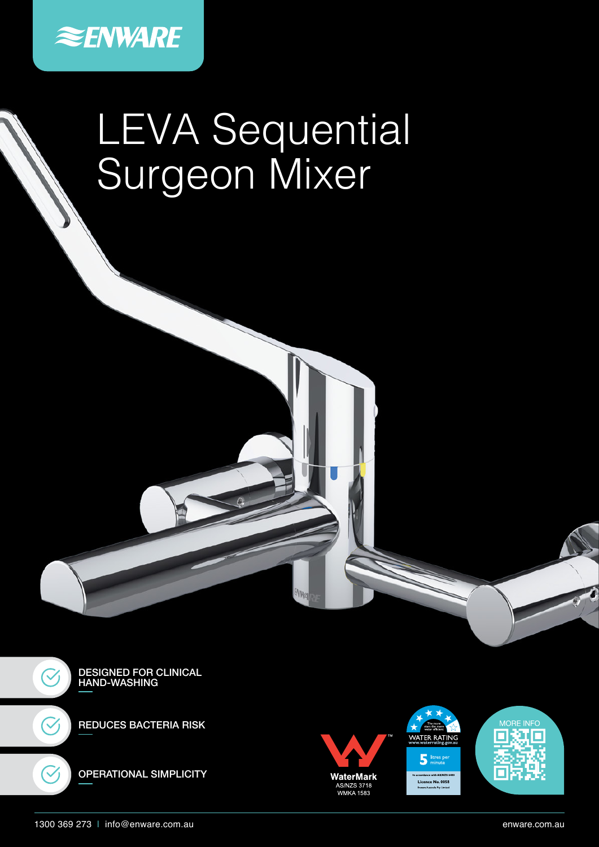

# LEVA Sequential Surgeon Mixer



REDUCES BACTERIA RISK





**AVWA** 





1300 369 273 | info@enware.com.au enware.com.au

 $\checkmark$